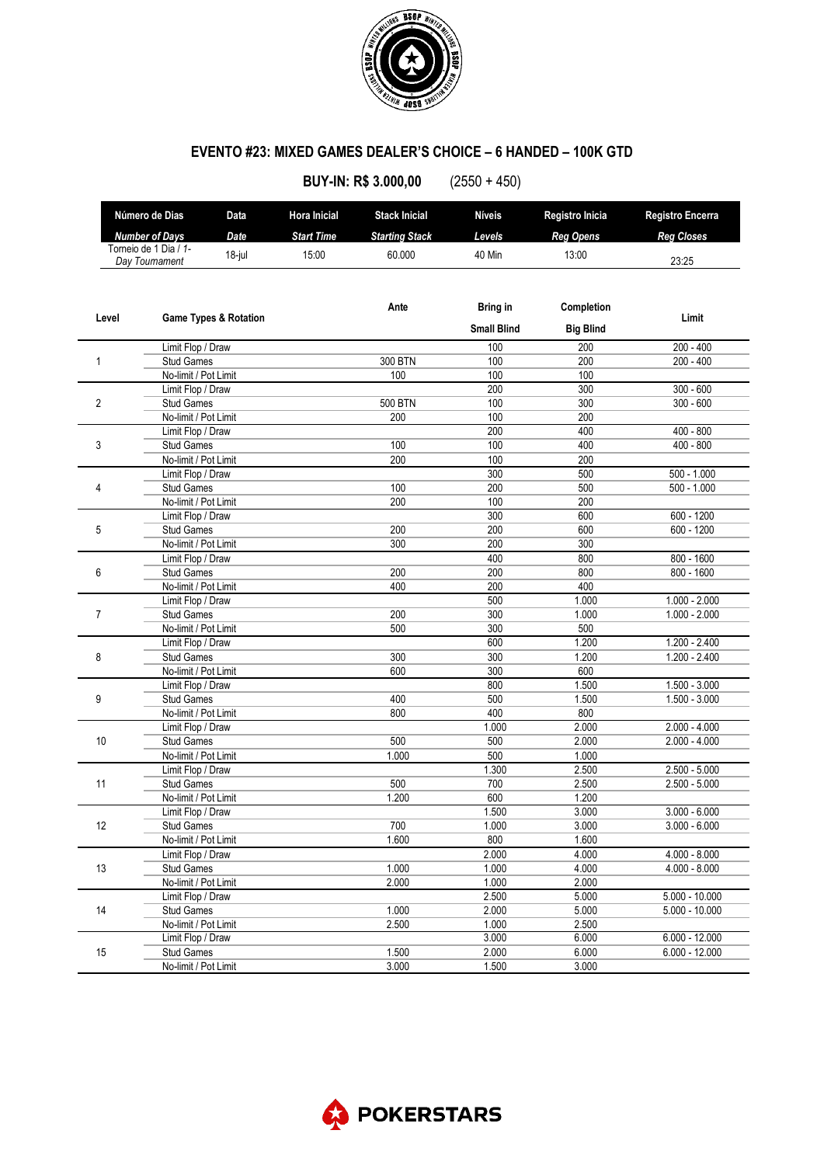

## **EVENTO #23: MIXED GAMES DEALER'S CHOICE – 6 HANDED – 100K GTD**

| Número de Dias<br><b>Hora Inicial</b><br><b>Stack Inicial</b><br><b>Níveis</b><br><b>Registro Encerra</b><br>Data<br>Registro Inicia<br><b>Number of Days</b><br>Date<br><b>Start Time</b><br>Levels<br><b>Starting Stack</b><br><b>Reg Opens</b><br><b>Reg Closes</b><br>Torneio de 1 Dia / 1-<br>15:00<br>$18$ -jul<br>60.000<br>40 Min<br>13:00<br>Day Tournament<br>23:25<br>Ante<br><b>Bring in</b><br>Completion<br>Level<br><b>Game Types &amp; Rotation</b><br>Limit<br><b>Small Blind</b><br><b>Big Blind</b><br>$200 - 400$<br>Limit Flop / Draw<br>100<br>200<br><b>Stud Games</b><br>300 BTN<br>100<br>200<br>$200 - 400$<br>1<br>No-limit / Pot Limit<br>100<br>100<br>100<br>$300 - 600$<br>200<br>300<br>Limit Flop / Draw<br>$300 - 600$<br>2<br><b>Stud Games</b><br><b>500 BTN</b><br>100<br>300<br>No-limit / Pot Limit<br>200<br>100<br>200<br>$400 - 800$<br>200<br>400<br>Limit Flop / Draw<br>100<br>3<br><b>Stud Games</b><br>100<br>400<br>$400 - 800$<br>No-limit / Pot Limit<br>200<br>100<br>200<br>$500 - 1.000$<br>Limit Flop / Draw<br>300<br>500<br>100<br>200<br>500<br>$500 - 1.000$<br>4<br><b>Stud Games</b><br>No-limit / Pot Limit<br>200<br>200<br>100<br>$600 - 1200$<br>300<br>600<br>Limit Flop / Draw<br>200<br>200<br>$600 - 1200$<br>5<br><b>Stud Games</b><br>600<br>No-limit / Pot Limit<br>300<br>200<br>300<br>$800 - 1600$<br>Limit Flop / Draw<br>400<br>800<br>200<br>800<br>6<br>200<br>$800 - 1600$<br><b>Stud Games</b><br>400<br>200<br>400<br>No-limit / Pot Limit<br>$1.000 - 2.000$<br>500<br>1.000<br>Limit Flop / Draw<br>$1.000 - 2.000$<br><b>Stud Games</b><br>200<br>300<br>1.000<br>7<br>No-limit / Pot Limit<br>500<br>300<br>500<br>$1.200 - 2.400$<br>600<br>1.200<br>Limit Flop / Draw<br>1.200<br>8<br>300<br>300<br>1.200 - 2.400<br><b>Stud Games</b><br>600<br>300<br>600<br>No-limit / Pot Limit<br>$1.500 - 3.000$<br>Limit Flop / Draw<br>800<br>1.500<br>400<br>1.500<br>$1.500 - 3.000$<br>9<br><b>Stud Games</b><br>500<br>800<br>800<br>No-limit / Pot Limit<br>400<br>1.000<br>2.000<br>$2.000 - 4.000$<br>Limit Flop / Draw<br>500<br>10<br>Stud Games<br>500<br>2.000<br>$2.000 - 4.000$<br>500<br>1.000<br>1.000<br>No-limit / Pot Limit<br>2.500<br>$2.500 - 5.000$<br>1.300<br>Limit Flop / Draw<br>700<br>11<br><b>Stud Games</b><br>500<br>2.500<br>$2.500 - 5.000$<br>No-limit / Pot Limit<br>1.200<br>600<br>1.200<br>$3.000 - 6.000$<br>1.500<br>3.000<br>Limit Flop / Draw<br>700<br>12<br><b>Stud Games</b><br>1.000<br>3.000<br>$3.000 - 6.000$<br>800<br>No-limit / Pot Limit<br>1.600<br>1.600<br>$4.000 - 8.000$<br>2.000<br>4.000<br>Limit Flop / Draw<br>13<br>1.000<br>1.000<br>4.000<br>$4.000 - 8.000$<br><b>Stud Games</b><br>2.000<br>1.000<br>2.000<br>No-limit / Pot Limit<br>2.500<br>5.000<br>Limit Flop / Draw<br>$5.000 - 10.000$<br>14<br>1.000<br>2.000<br>5.000<br>$5.000 - 10.000$<br><b>Stud Games</b><br>2.500<br>1.000<br>2.500<br>No-limit / Pot Limit<br>3.000<br>6.000<br>$6.000 - 12.000$<br>Limit Flop / Draw<br>2.000<br>15<br>1.500<br>6.000<br>$6.000 - 12.000$<br>Stud Games<br>No-limit / Pot Limit |  |  |  |  | <b>BUY-IN: R\$ 3.000,00</b> | $(2550 + 450)$ |       |  |
|-------------------------------------------------------------------------------------------------------------------------------------------------------------------------------------------------------------------------------------------------------------------------------------------------------------------------------------------------------------------------------------------------------------------------------------------------------------------------------------------------------------------------------------------------------------------------------------------------------------------------------------------------------------------------------------------------------------------------------------------------------------------------------------------------------------------------------------------------------------------------------------------------------------------------------------------------------------------------------------------------------------------------------------------------------------------------------------------------------------------------------------------------------------------------------------------------------------------------------------------------------------------------------------------------------------------------------------------------------------------------------------------------------------------------------------------------------------------------------------------------------------------------------------------------------------------------------------------------------------------------------------------------------------------------------------------------------------------------------------------------------------------------------------------------------------------------------------------------------------------------------------------------------------------------------------------------------------------------------------------------------------------------------------------------------------------------------------------------------------------------------------------------------------------------------------------------------------------------------------------------------------------------------------------------------------------------------------------------------------------------------------------------------------------------------------------------------------------------------------------------------------------------------------------------------------------------------------------------------------------------------------------------------------------------------------------------------------------------------------------------------------------------------------------------------------------------------------------------------------------------------------------------------------------------------------------------------------------------------------------------------------------------------------------------------------------------------------------------------------------------------------|--|--|--|--|-----------------------------|----------------|-------|--|
|                                                                                                                                                                                                                                                                                                                                                                                                                                                                                                                                                                                                                                                                                                                                                                                                                                                                                                                                                                                                                                                                                                                                                                                                                                                                                                                                                                                                                                                                                                                                                                                                                                                                                                                                                                                                                                                                                                                                                                                                                                                                                                                                                                                                                                                                                                                                                                                                                                                                                                                                                                                                                                                                                                                                                                                                                                                                                                                                                                                                                                                                                                                                     |  |  |  |  |                             |                |       |  |
|                                                                                                                                                                                                                                                                                                                                                                                                                                                                                                                                                                                                                                                                                                                                                                                                                                                                                                                                                                                                                                                                                                                                                                                                                                                                                                                                                                                                                                                                                                                                                                                                                                                                                                                                                                                                                                                                                                                                                                                                                                                                                                                                                                                                                                                                                                                                                                                                                                                                                                                                                                                                                                                                                                                                                                                                                                                                                                                                                                                                                                                                                                                                     |  |  |  |  |                             |                |       |  |
|                                                                                                                                                                                                                                                                                                                                                                                                                                                                                                                                                                                                                                                                                                                                                                                                                                                                                                                                                                                                                                                                                                                                                                                                                                                                                                                                                                                                                                                                                                                                                                                                                                                                                                                                                                                                                                                                                                                                                                                                                                                                                                                                                                                                                                                                                                                                                                                                                                                                                                                                                                                                                                                                                                                                                                                                                                                                                                                                                                                                                                                                                                                                     |  |  |  |  |                             |                |       |  |
|                                                                                                                                                                                                                                                                                                                                                                                                                                                                                                                                                                                                                                                                                                                                                                                                                                                                                                                                                                                                                                                                                                                                                                                                                                                                                                                                                                                                                                                                                                                                                                                                                                                                                                                                                                                                                                                                                                                                                                                                                                                                                                                                                                                                                                                                                                                                                                                                                                                                                                                                                                                                                                                                                                                                                                                                                                                                                                                                                                                                                                                                                                                                     |  |  |  |  |                             |                |       |  |
|                                                                                                                                                                                                                                                                                                                                                                                                                                                                                                                                                                                                                                                                                                                                                                                                                                                                                                                                                                                                                                                                                                                                                                                                                                                                                                                                                                                                                                                                                                                                                                                                                                                                                                                                                                                                                                                                                                                                                                                                                                                                                                                                                                                                                                                                                                                                                                                                                                                                                                                                                                                                                                                                                                                                                                                                                                                                                                                                                                                                                                                                                                                                     |  |  |  |  |                             |                |       |  |
|                                                                                                                                                                                                                                                                                                                                                                                                                                                                                                                                                                                                                                                                                                                                                                                                                                                                                                                                                                                                                                                                                                                                                                                                                                                                                                                                                                                                                                                                                                                                                                                                                                                                                                                                                                                                                                                                                                                                                                                                                                                                                                                                                                                                                                                                                                                                                                                                                                                                                                                                                                                                                                                                                                                                                                                                                                                                                                                                                                                                                                                                                                                                     |  |  |  |  |                             |                |       |  |
|                                                                                                                                                                                                                                                                                                                                                                                                                                                                                                                                                                                                                                                                                                                                                                                                                                                                                                                                                                                                                                                                                                                                                                                                                                                                                                                                                                                                                                                                                                                                                                                                                                                                                                                                                                                                                                                                                                                                                                                                                                                                                                                                                                                                                                                                                                                                                                                                                                                                                                                                                                                                                                                                                                                                                                                                                                                                                                                                                                                                                                                                                                                                     |  |  |  |  |                             |                |       |  |
|                                                                                                                                                                                                                                                                                                                                                                                                                                                                                                                                                                                                                                                                                                                                                                                                                                                                                                                                                                                                                                                                                                                                                                                                                                                                                                                                                                                                                                                                                                                                                                                                                                                                                                                                                                                                                                                                                                                                                                                                                                                                                                                                                                                                                                                                                                                                                                                                                                                                                                                                                                                                                                                                                                                                                                                                                                                                                                                                                                                                                                                                                                                                     |  |  |  |  |                             |                |       |  |
|                                                                                                                                                                                                                                                                                                                                                                                                                                                                                                                                                                                                                                                                                                                                                                                                                                                                                                                                                                                                                                                                                                                                                                                                                                                                                                                                                                                                                                                                                                                                                                                                                                                                                                                                                                                                                                                                                                                                                                                                                                                                                                                                                                                                                                                                                                                                                                                                                                                                                                                                                                                                                                                                                                                                                                                                                                                                                                                                                                                                                                                                                                                                     |  |  |  |  |                             |                |       |  |
|                                                                                                                                                                                                                                                                                                                                                                                                                                                                                                                                                                                                                                                                                                                                                                                                                                                                                                                                                                                                                                                                                                                                                                                                                                                                                                                                                                                                                                                                                                                                                                                                                                                                                                                                                                                                                                                                                                                                                                                                                                                                                                                                                                                                                                                                                                                                                                                                                                                                                                                                                                                                                                                                                                                                                                                                                                                                                                                                                                                                                                                                                                                                     |  |  |  |  |                             |                |       |  |
|                                                                                                                                                                                                                                                                                                                                                                                                                                                                                                                                                                                                                                                                                                                                                                                                                                                                                                                                                                                                                                                                                                                                                                                                                                                                                                                                                                                                                                                                                                                                                                                                                                                                                                                                                                                                                                                                                                                                                                                                                                                                                                                                                                                                                                                                                                                                                                                                                                                                                                                                                                                                                                                                                                                                                                                                                                                                                                                                                                                                                                                                                                                                     |  |  |  |  |                             |                |       |  |
|                                                                                                                                                                                                                                                                                                                                                                                                                                                                                                                                                                                                                                                                                                                                                                                                                                                                                                                                                                                                                                                                                                                                                                                                                                                                                                                                                                                                                                                                                                                                                                                                                                                                                                                                                                                                                                                                                                                                                                                                                                                                                                                                                                                                                                                                                                                                                                                                                                                                                                                                                                                                                                                                                                                                                                                                                                                                                                                                                                                                                                                                                                                                     |  |  |  |  |                             |                |       |  |
|                                                                                                                                                                                                                                                                                                                                                                                                                                                                                                                                                                                                                                                                                                                                                                                                                                                                                                                                                                                                                                                                                                                                                                                                                                                                                                                                                                                                                                                                                                                                                                                                                                                                                                                                                                                                                                                                                                                                                                                                                                                                                                                                                                                                                                                                                                                                                                                                                                                                                                                                                                                                                                                                                                                                                                                                                                                                                                                                                                                                                                                                                                                                     |  |  |  |  |                             |                |       |  |
|                                                                                                                                                                                                                                                                                                                                                                                                                                                                                                                                                                                                                                                                                                                                                                                                                                                                                                                                                                                                                                                                                                                                                                                                                                                                                                                                                                                                                                                                                                                                                                                                                                                                                                                                                                                                                                                                                                                                                                                                                                                                                                                                                                                                                                                                                                                                                                                                                                                                                                                                                                                                                                                                                                                                                                                                                                                                                                                                                                                                                                                                                                                                     |  |  |  |  |                             |                |       |  |
|                                                                                                                                                                                                                                                                                                                                                                                                                                                                                                                                                                                                                                                                                                                                                                                                                                                                                                                                                                                                                                                                                                                                                                                                                                                                                                                                                                                                                                                                                                                                                                                                                                                                                                                                                                                                                                                                                                                                                                                                                                                                                                                                                                                                                                                                                                                                                                                                                                                                                                                                                                                                                                                                                                                                                                                                                                                                                                                                                                                                                                                                                                                                     |  |  |  |  |                             |                |       |  |
|                                                                                                                                                                                                                                                                                                                                                                                                                                                                                                                                                                                                                                                                                                                                                                                                                                                                                                                                                                                                                                                                                                                                                                                                                                                                                                                                                                                                                                                                                                                                                                                                                                                                                                                                                                                                                                                                                                                                                                                                                                                                                                                                                                                                                                                                                                                                                                                                                                                                                                                                                                                                                                                                                                                                                                                                                                                                                                                                                                                                                                                                                                                                     |  |  |  |  |                             |                |       |  |
|                                                                                                                                                                                                                                                                                                                                                                                                                                                                                                                                                                                                                                                                                                                                                                                                                                                                                                                                                                                                                                                                                                                                                                                                                                                                                                                                                                                                                                                                                                                                                                                                                                                                                                                                                                                                                                                                                                                                                                                                                                                                                                                                                                                                                                                                                                                                                                                                                                                                                                                                                                                                                                                                                                                                                                                                                                                                                                                                                                                                                                                                                                                                     |  |  |  |  |                             |                |       |  |
|                                                                                                                                                                                                                                                                                                                                                                                                                                                                                                                                                                                                                                                                                                                                                                                                                                                                                                                                                                                                                                                                                                                                                                                                                                                                                                                                                                                                                                                                                                                                                                                                                                                                                                                                                                                                                                                                                                                                                                                                                                                                                                                                                                                                                                                                                                                                                                                                                                                                                                                                                                                                                                                                                                                                                                                                                                                                                                                                                                                                                                                                                                                                     |  |  |  |  |                             |                |       |  |
|                                                                                                                                                                                                                                                                                                                                                                                                                                                                                                                                                                                                                                                                                                                                                                                                                                                                                                                                                                                                                                                                                                                                                                                                                                                                                                                                                                                                                                                                                                                                                                                                                                                                                                                                                                                                                                                                                                                                                                                                                                                                                                                                                                                                                                                                                                                                                                                                                                                                                                                                                                                                                                                                                                                                                                                                                                                                                                                                                                                                                                                                                                                                     |  |  |  |  |                             |                |       |  |
|                                                                                                                                                                                                                                                                                                                                                                                                                                                                                                                                                                                                                                                                                                                                                                                                                                                                                                                                                                                                                                                                                                                                                                                                                                                                                                                                                                                                                                                                                                                                                                                                                                                                                                                                                                                                                                                                                                                                                                                                                                                                                                                                                                                                                                                                                                                                                                                                                                                                                                                                                                                                                                                                                                                                                                                                                                                                                                                                                                                                                                                                                                                                     |  |  |  |  |                             |                |       |  |
|                                                                                                                                                                                                                                                                                                                                                                                                                                                                                                                                                                                                                                                                                                                                                                                                                                                                                                                                                                                                                                                                                                                                                                                                                                                                                                                                                                                                                                                                                                                                                                                                                                                                                                                                                                                                                                                                                                                                                                                                                                                                                                                                                                                                                                                                                                                                                                                                                                                                                                                                                                                                                                                                                                                                                                                                                                                                                                                                                                                                                                                                                                                                     |  |  |  |  |                             |                |       |  |
|                                                                                                                                                                                                                                                                                                                                                                                                                                                                                                                                                                                                                                                                                                                                                                                                                                                                                                                                                                                                                                                                                                                                                                                                                                                                                                                                                                                                                                                                                                                                                                                                                                                                                                                                                                                                                                                                                                                                                                                                                                                                                                                                                                                                                                                                                                                                                                                                                                                                                                                                                                                                                                                                                                                                                                                                                                                                                                                                                                                                                                                                                                                                     |  |  |  |  |                             |                |       |  |
|                                                                                                                                                                                                                                                                                                                                                                                                                                                                                                                                                                                                                                                                                                                                                                                                                                                                                                                                                                                                                                                                                                                                                                                                                                                                                                                                                                                                                                                                                                                                                                                                                                                                                                                                                                                                                                                                                                                                                                                                                                                                                                                                                                                                                                                                                                                                                                                                                                                                                                                                                                                                                                                                                                                                                                                                                                                                                                                                                                                                                                                                                                                                     |  |  |  |  |                             |                |       |  |
|                                                                                                                                                                                                                                                                                                                                                                                                                                                                                                                                                                                                                                                                                                                                                                                                                                                                                                                                                                                                                                                                                                                                                                                                                                                                                                                                                                                                                                                                                                                                                                                                                                                                                                                                                                                                                                                                                                                                                                                                                                                                                                                                                                                                                                                                                                                                                                                                                                                                                                                                                                                                                                                                                                                                                                                                                                                                                                                                                                                                                                                                                                                                     |  |  |  |  |                             |                |       |  |
|                                                                                                                                                                                                                                                                                                                                                                                                                                                                                                                                                                                                                                                                                                                                                                                                                                                                                                                                                                                                                                                                                                                                                                                                                                                                                                                                                                                                                                                                                                                                                                                                                                                                                                                                                                                                                                                                                                                                                                                                                                                                                                                                                                                                                                                                                                                                                                                                                                                                                                                                                                                                                                                                                                                                                                                                                                                                                                                                                                                                                                                                                                                                     |  |  |  |  |                             |                |       |  |
|                                                                                                                                                                                                                                                                                                                                                                                                                                                                                                                                                                                                                                                                                                                                                                                                                                                                                                                                                                                                                                                                                                                                                                                                                                                                                                                                                                                                                                                                                                                                                                                                                                                                                                                                                                                                                                                                                                                                                                                                                                                                                                                                                                                                                                                                                                                                                                                                                                                                                                                                                                                                                                                                                                                                                                                                                                                                                                                                                                                                                                                                                                                                     |  |  |  |  |                             |                |       |  |
|                                                                                                                                                                                                                                                                                                                                                                                                                                                                                                                                                                                                                                                                                                                                                                                                                                                                                                                                                                                                                                                                                                                                                                                                                                                                                                                                                                                                                                                                                                                                                                                                                                                                                                                                                                                                                                                                                                                                                                                                                                                                                                                                                                                                                                                                                                                                                                                                                                                                                                                                                                                                                                                                                                                                                                                                                                                                                                                                                                                                                                                                                                                                     |  |  |  |  |                             |                |       |  |
|                                                                                                                                                                                                                                                                                                                                                                                                                                                                                                                                                                                                                                                                                                                                                                                                                                                                                                                                                                                                                                                                                                                                                                                                                                                                                                                                                                                                                                                                                                                                                                                                                                                                                                                                                                                                                                                                                                                                                                                                                                                                                                                                                                                                                                                                                                                                                                                                                                                                                                                                                                                                                                                                                                                                                                                                                                                                                                                                                                                                                                                                                                                                     |  |  |  |  |                             |                |       |  |
|                                                                                                                                                                                                                                                                                                                                                                                                                                                                                                                                                                                                                                                                                                                                                                                                                                                                                                                                                                                                                                                                                                                                                                                                                                                                                                                                                                                                                                                                                                                                                                                                                                                                                                                                                                                                                                                                                                                                                                                                                                                                                                                                                                                                                                                                                                                                                                                                                                                                                                                                                                                                                                                                                                                                                                                                                                                                                                                                                                                                                                                                                                                                     |  |  |  |  |                             |                |       |  |
|                                                                                                                                                                                                                                                                                                                                                                                                                                                                                                                                                                                                                                                                                                                                                                                                                                                                                                                                                                                                                                                                                                                                                                                                                                                                                                                                                                                                                                                                                                                                                                                                                                                                                                                                                                                                                                                                                                                                                                                                                                                                                                                                                                                                                                                                                                                                                                                                                                                                                                                                                                                                                                                                                                                                                                                                                                                                                                                                                                                                                                                                                                                                     |  |  |  |  |                             |                |       |  |
|                                                                                                                                                                                                                                                                                                                                                                                                                                                                                                                                                                                                                                                                                                                                                                                                                                                                                                                                                                                                                                                                                                                                                                                                                                                                                                                                                                                                                                                                                                                                                                                                                                                                                                                                                                                                                                                                                                                                                                                                                                                                                                                                                                                                                                                                                                                                                                                                                                                                                                                                                                                                                                                                                                                                                                                                                                                                                                                                                                                                                                                                                                                                     |  |  |  |  |                             |                |       |  |
|                                                                                                                                                                                                                                                                                                                                                                                                                                                                                                                                                                                                                                                                                                                                                                                                                                                                                                                                                                                                                                                                                                                                                                                                                                                                                                                                                                                                                                                                                                                                                                                                                                                                                                                                                                                                                                                                                                                                                                                                                                                                                                                                                                                                                                                                                                                                                                                                                                                                                                                                                                                                                                                                                                                                                                                                                                                                                                                                                                                                                                                                                                                                     |  |  |  |  |                             |                |       |  |
|                                                                                                                                                                                                                                                                                                                                                                                                                                                                                                                                                                                                                                                                                                                                                                                                                                                                                                                                                                                                                                                                                                                                                                                                                                                                                                                                                                                                                                                                                                                                                                                                                                                                                                                                                                                                                                                                                                                                                                                                                                                                                                                                                                                                                                                                                                                                                                                                                                                                                                                                                                                                                                                                                                                                                                                                                                                                                                                                                                                                                                                                                                                                     |  |  |  |  |                             |                |       |  |
|                                                                                                                                                                                                                                                                                                                                                                                                                                                                                                                                                                                                                                                                                                                                                                                                                                                                                                                                                                                                                                                                                                                                                                                                                                                                                                                                                                                                                                                                                                                                                                                                                                                                                                                                                                                                                                                                                                                                                                                                                                                                                                                                                                                                                                                                                                                                                                                                                                                                                                                                                                                                                                                                                                                                                                                                                                                                                                                                                                                                                                                                                                                                     |  |  |  |  |                             |                |       |  |
|                                                                                                                                                                                                                                                                                                                                                                                                                                                                                                                                                                                                                                                                                                                                                                                                                                                                                                                                                                                                                                                                                                                                                                                                                                                                                                                                                                                                                                                                                                                                                                                                                                                                                                                                                                                                                                                                                                                                                                                                                                                                                                                                                                                                                                                                                                                                                                                                                                                                                                                                                                                                                                                                                                                                                                                                                                                                                                                                                                                                                                                                                                                                     |  |  |  |  |                             |                |       |  |
|                                                                                                                                                                                                                                                                                                                                                                                                                                                                                                                                                                                                                                                                                                                                                                                                                                                                                                                                                                                                                                                                                                                                                                                                                                                                                                                                                                                                                                                                                                                                                                                                                                                                                                                                                                                                                                                                                                                                                                                                                                                                                                                                                                                                                                                                                                                                                                                                                                                                                                                                                                                                                                                                                                                                                                                                                                                                                                                                                                                                                                                                                                                                     |  |  |  |  |                             |                |       |  |
|                                                                                                                                                                                                                                                                                                                                                                                                                                                                                                                                                                                                                                                                                                                                                                                                                                                                                                                                                                                                                                                                                                                                                                                                                                                                                                                                                                                                                                                                                                                                                                                                                                                                                                                                                                                                                                                                                                                                                                                                                                                                                                                                                                                                                                                                                                                                                                                                                                                                                                                                                                                                                                                                                                                                                                                                                                                                                                                                                                                                                                                                                                                                     |  |  |  |  |                             |                |       |  |
|                                                                                                                                                                                                                                                                                                                                                                                                                                                                                                                                                                                                                                                                                                                                                                                                                                                                                                                                                                                                                                                                                                                                                                                                                                                                                                                                                                                                                                                                                                                                                                                                                                                                                                                                                                                                                                                                                                                                                                                                                                                                                                                                                                                                                                                                                                                                                                                                                                                                                                                                                                                                                                                                                                                                                                                                                                                                                                                                                                                                                                                                                                                                     |  |  |  |  |                             |                |       |  |
|                                                                                                                                                                                                                                                                                                                                                                                                                                                                                                                                                                                                                                                                                                                                                                                                                                                                                                                                                                                                                                                                                                                                                                                                                                                                                                                                                                                                                                                                                                                                                                                                                                                                                                                                                                                                                                                                                                                                                                                                                                                                                                                                                                                                                                                                                                                                                                                                                                                                                                                                                                                                                                                                                                                                                                                                                                                                                                                                                                                                                                                                                                                                     |  |  |  |  |                             |                |       |  |
|                                                                                                                                                                                                                                                                                                                                                                                                                                                                                                                                                                                                                                                                                                                                                                                                                                                                                                                                                                                                                                                                                                                                                                                                                                                                                                                                                                                                                                                                                                                                                                                                                                                                                                                                                                                                                                                                                                                                                                                                                                                                                                                                                                                                                                                                                                                                                                                                                                                                                                                                                                                                                                                                                                                                                                                                                                                                                                                                                                                                                                                                                                                                     |  |  |  |  |                             |                |       |  |
|                                                                                                                                                                                                                                                                                                                                                                                                                                                                                                                                                                                                                                                                                                                                                                                                                                                                                                                                                                                                                                                                                                                                                                                                                                                                                                                                                                                                                                                                                                                                                                                                                                                                                                                                                                                                                                                                                                                                                                                                                                                                                                                                                                                                                                                                                                                                                                                                                                                                                                                                                                                                                                                                                                                                                                                                                                                                                                                                                                                                                                                                                                                                     |  |  |  |  |                             |                |       |  |
|                                                                                                                                                                                                                                                                                                                                                                                                                                                                                                                                                                                                                                                                                                                                                                                                                                                                                                                                                                                                                                                                                                                                                                                                                                                                                                                                                                                                                                                                                                                                                                                                                                                                                                                                                                                                                                                                                                                                                                                                                                                                                                                                                                                                                                                                                                                                                                                                                                                                                                                                                                                                                                                                                                                                                                                                                                                                                                                                                                                                                                                                                                                                     |  |  |  |  |                             |                |       |  |
|                                                                                                                                                                                                                                                                                                                                                                                                                                                                                                                                                                                                                                                                                                                                                                                                                                                                                                                                                                                                                                                                                                                                                                                                                                                                                                                                                                                                                                                                                                                                                                                                                                                                                                                                                                                                                                                                                                                                                                                                                                                                                                                                                                                                                                                                                                                                                                                                                                                                                                                                                                                                                                                                                                                                                                                                                                                                                                                                                                                                                                                                                                                                     |  |  |  |  |                             |                |       |  |
|                                                                                                                                                                                                                                                                                                                                                                                                                                                                                                                                                                                                                                                                                                                                                                                                                                                                                                                                                                                                                                                                                                                                                                                                                                                                                                                                                                                                                                                                                                                                                                                                                                                                                                                                                                                                                                                                                                                                                                                                                                                                                                                                                                                                                                                                                                                                                                                                                                                                                                                                                                                                                                                                                                                                                                                                                                                                                                                                                                                                                                                                                                                                     |  |  |  |  |                             |                |       |  |
|                                                                                                                                                                                                                                                                                                                                                                                                                                                                                                                                                                                                                                                                                                                                                                                                                                                                                                                                                                                                                                                                                                                                                                                                                                                                                                                                                                                                                                                                                                                                                                                                                                                                                                                                                                                                                                                                                                                                                                                                                                                                                                                                                                                                                                                                                                                                                                                                                                                                                                                                                                                                                                                                                                                                                                                                                                                                                                                                                                                                                                                                                                                                     |  |  |  |  |                             |                |       |  |
|                                                                                                                                                                                                                                                                                                                                                                                                                                                                                                                                                                                                                                                                                                                                                                                                                                                                                                                                                                                                                                                                                                                                                                                                                                                                                                                                                                                                                                                                                                                                                                                                                                                                                                                                                                                                                                                                                                                                                                                                                                                                                                                                                                                                                                                                                                                                                                                                                                                                                                                                                                                                                                                                                                                                                                                                                                                                                                                                                                                                                                                                                                                                     |  |  |  |  |                             |                |       |  |
|                                                                                                                                                                                                                                                                                                                                                                                                                                                                                                                                                                                                                                                                                                                                                                                                                                                                                                                                                                                                                                                                                                                                                                                                                                                                                                                                                                                                                                                                                                                                                                                                                                                                                                                                                                                                                                                                                                                                                                                                                                                                                                                                                                                                                                                                                                                                                                                                                                                                                                                                                                                                                                                                                                                                                                                                                                                                                                                                                                                                                                                                                                                                     |  |  |  |  |                             |                |       |  |
|                                                                                                                                                                                                                                                                                                                                                                                                                                                                                                                                                                                                                                                                                                                                                                                                                                                                                                                                                                                                                                                                                                                                                                                                                                                                                                                                                                                                                                                                                                                                                                                                                                                                                                                                                                                                                                                                                                                                                                                                                                                                                                                                                                                                                                                                                                                                                                                                                                                                                                                                                                                                                                                                                                                                                                                                                                                                                                                                                                                                                                                                                                                                     |  |  |  |  |                             |                |       |  |
|                                                                                                                                                                                                                                                                                                                                                                                                                                                                                                                                                                                                                                                                                                                                                                                                                                                                                                                                                                                                                                                                                                                                                                                                                                                                                                                                                                                                                                                                                                                                                                                                                                                                                                                                                                                                                                                                                                                                                                                                                                                                                                                                                                                                                                                                                                                                                                                                                                                                                                                                                                                                                                                                                                                                                                                                                                                                                                                                                                                                                                                                                                                                     |  |  |  |  |                             |                |       |  |
|                                                                                                                                                                                                                                                                                                                                                                                                                                                                                                                                                                                                                                                                                                                                                                                                                                                                                                                                                                                                                                                                                                                                                                                                                                                                                                                                                                                                                                                                                                                                                                                                                                                                                                                                                                                                                                                                                                                                                                                                                                                                                                                                                                                                                                                                                                                                                                                                                                                                                                                                                                                                                                                                                                                                                                                                                                                                                                                                                                                                                                                                                                                                     |  |  |  |  |                             |                |       |  |
|                                                                                                                                                                                                                                                                                                                                                                                                                                                                                                                                                                                                                                                                                                                                                                                                                                                                                                                                                                                                                                                                                                                                                                                                                                                                                                                                                                                                                                                                                                                                                                                                                                                                                                                                                                                                                                                                                                                                                                                                                                                                                                                                                                                                                                                                                                                                                                                                                                                                                                                                                                                                                                                                                                                                                                                                                                                                                                                                                                                                                                                                                                                                     |  |  |  |  | 3.000                       | 1.500          | 3.000 |  |